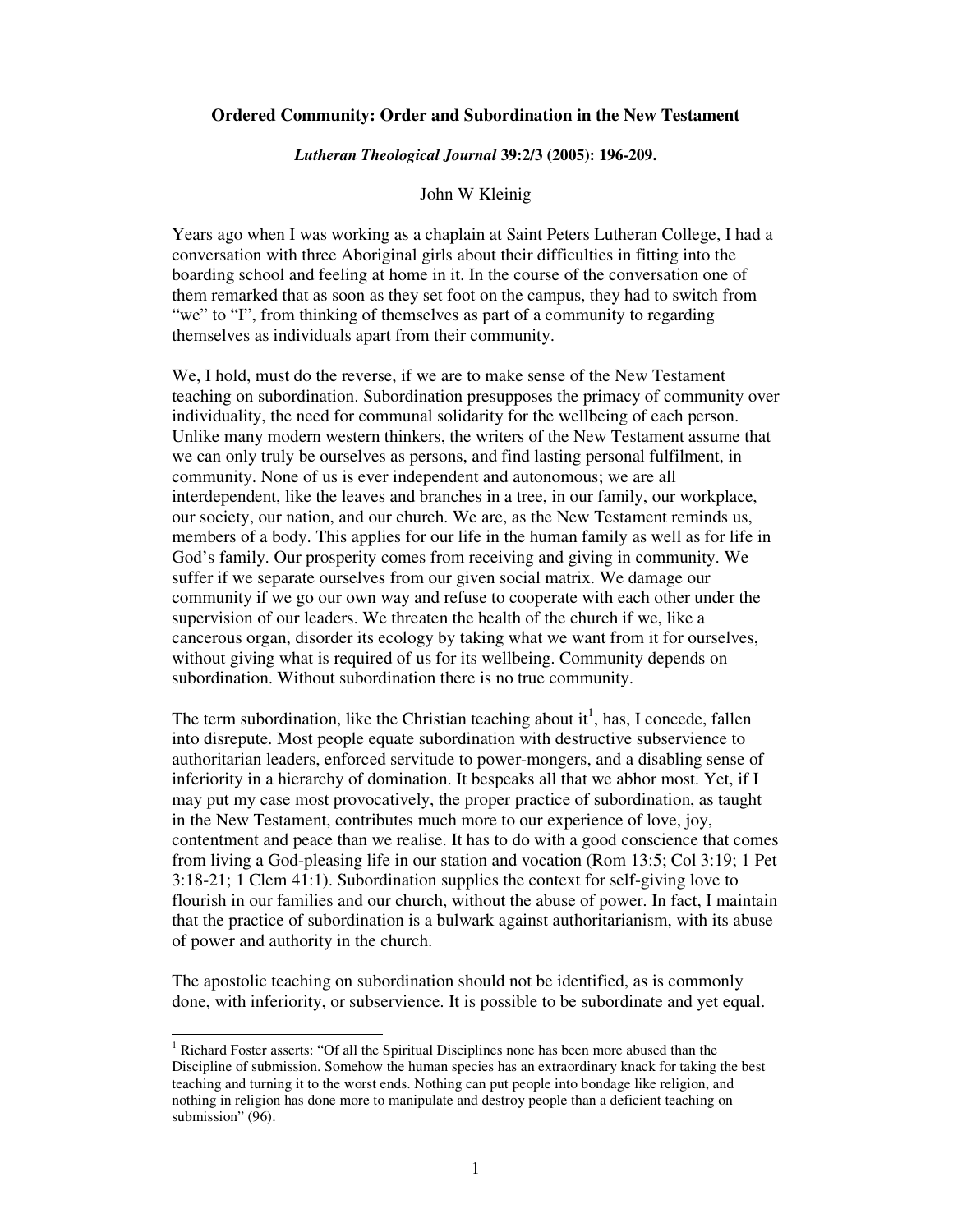# **Ordered Community: Order and Subordination in the New Testament**

#### *Lutheran Theological Journal* **39:2/3 (2005): 196-209.**

# John W Kleinig

Years ago when I was working as a chaplain at Saint Peters Lutheran College, I had a conversation with three Aboriginal girls about their difficulties in fitting into the boarding school and feeling at home in it. In the course of the conversation one of them remarked that as soon as they set foot on the campus, they had to switch from "we" to "I", from thinking of themselves as part of a community to regarding themselves as individuals apart from their community.

We, I hold, must do the reverse, if we are to make sense of the New Testament teaching on subordination. Subordination presupposes the primacy of community over individuality, the need for communal solidarity for the wellbeing of each person. Unlike many modern western thinkers, the writers of the New Testament assume that we can only truly be ourselves as persons, and find lasting personal fulfilment, in community. None of us is ever independent and autonomous; we are all interdependent, like the leaves and branches in a tree, in our family, our workplace, our society, our nation, and our church. We are, as the New Testament reminds us, members of a body. This applies for our life in the human family as well as for life in God's family. Our prosperity comes from receiving and giving in community. We suffer if we separate ourselves from our given social matrix. We damage our community if we go our own way and refuse to cooperate with each other under the supervision of our leaders. We threaten the health of the church if we, like a cancerous organ, disorder its ecology by taking what we want from it for ourselves, without giving what is required of us for its wellbeing. Community depends on subordination. Without subordination there is no true community.

The term subordination, like the Christian teaching about  $it^1$ , has, I concede, fallen into disrepute. Most people equate subordination with destructive subservience to authoritarian leaders, enforced servitude to power-mongers, and a disabling sense of inferiority in a hierarchy of domination. It bespeaks all that we abhor most. Yet, if I may put my case most provocatively, the proper practice of subordination, as taught in the New Testament, contributes much more to our experience of love, joy, contentment and peace than we realise. It has to do with a good conscience that comes from living a God-pleasing life in our station and vocation (Rom 13:5; Col 3:19; 1 Pet 3:18-21; 1 Clem 41:1). Subordination supplies the context for self-giving love to flourish in our families and our church, without the abuse of power. In fact, I maintain that the practice of subordination is a bulwark against authoritarianism, with its abuse of power and authority in the church.

The apostolic teaching on subordination should not be identified, as is commonly done, with inferiority, or subservience. It is possible to be subordinate and yet equal.

<sup>&</sup>lt;sup>1</sup> Richard Foster asserts: "Of all the Spiritual Disciplines none has been more abused than the Discipline of submission. Somehow the human species has an extraordinary knack for taking the best teaching and turning it to the worst ends. Nothing can put people into bondage like religion, and nothing in religion has done more to manipulate and destroy people than a deficient teaching on submission" (96).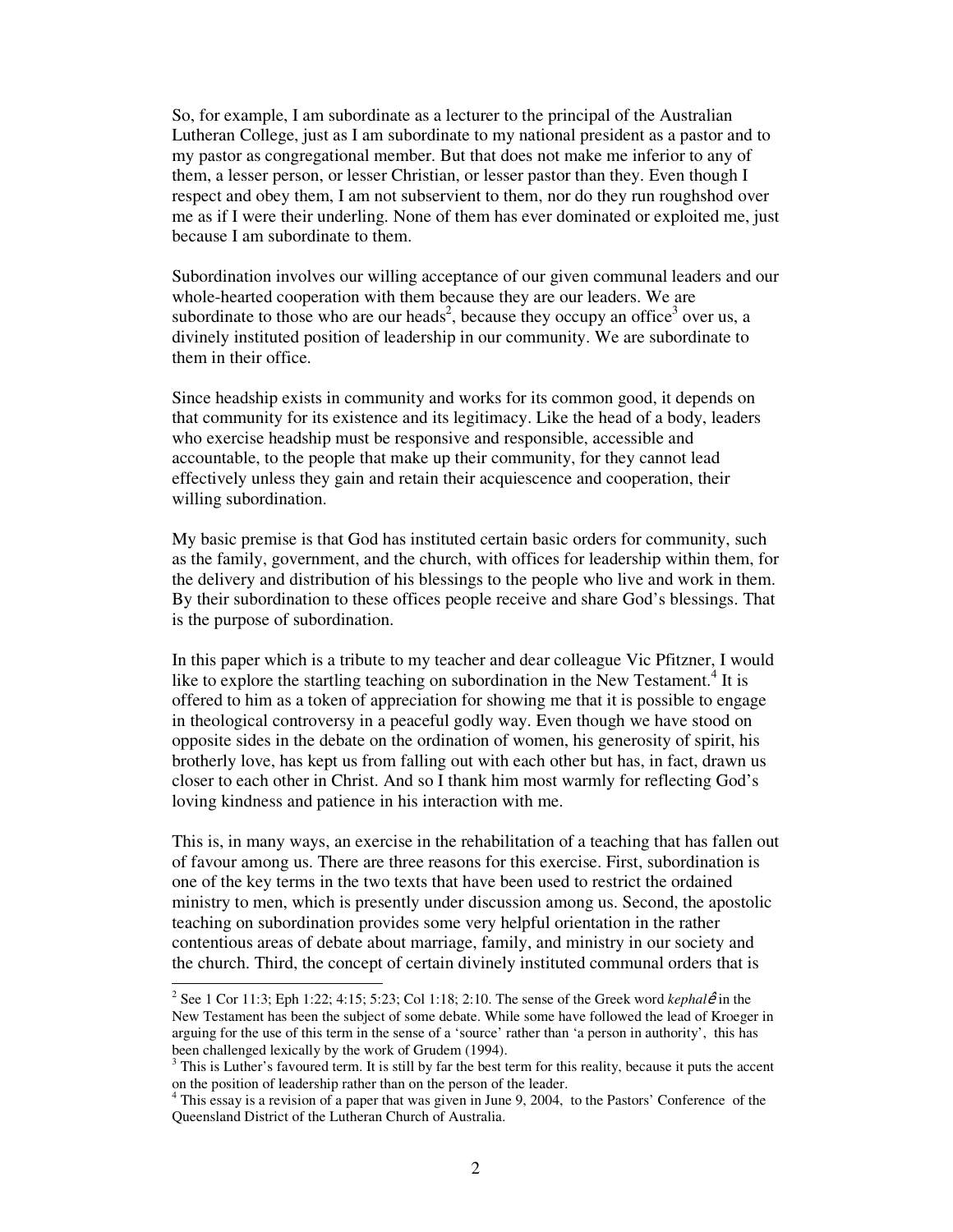So, for example, I am subordinate as a lecturer to the principal of the Australian Lutheran College, just as I am subordinate to my national president as a pastor and to my pastor as congregational member. But that does not make me inferior to any of them, a lesser person, or lesser Christian, or lesser pastor than they. Even though I respect and obey them, I am not subservient to them, nor do they run roughshod over me as if I were their underling. None of them has ever dominated or exploited me, just because I am subordinate to them.

Subordination involves our willing acceptance of our given communal leaders and our whole-hearted cooperation with them because they are our leaders. We are subordinate to those who are our heads<sup>2</sup>, because they occupy an office<sup>3</sup> over us, a divinely instituted position of leadership in our community. We are subordinate to them in their office.

Since headship exists in community and works for its common good, it depends on that community for its existence and its legitimacy. Like the head of a body, leaders who exercise headship must be responsive and responsible, accessible and accountable, to the people that make up their community, for they cannot lead effectively unless they gain and retain their acquiescence and cooperation, their willing subordination.

My basic premise is that God has instituted certain basic orders for community, such as the family, government, and the church, with offices for leadership within them, for the delivery and distribution of his blessings to the people who live and work in them. By their subordination to these offices people receive and share God's blessings. That is the purpose of subordination.

In this paper which is a tribute to my teacher and dear colleague Vic Pfitzner, I would like to explore the startling teaching on subordination in the New Testament.<sup>4</sup> It is offered to him as a token of appreciation for showing me that it is possible to engage in theological controversy in a peaceful godly way. Even though we have stood on opposite sides in the debate on the ordination of women, his generosity of spirit, his brotherly love, has kept us from falling out with each other but has, in fact, drawn us closer to each other in Christ. And so I thank him most warmly for reflecting God's loving kindness and patience in his interaction with me.

This is, in many ways, an exercise in the rehabilitation of a teaching that has fallen out of favour among us. There are three reasons for this exercise. First, subordination is one of the key terms in the two texts that have been used to restrict the ordained ministry to men, which is presently under discussion among us. Second, the apostolic teaching on subordination provides some very helpful orientation in the rather contentious areas of debate about marriage, family, and ministry in our society and the church. Third, the concept of certain divinely instituted communal orders that is

<sup>&</sup>lt;sup>2</sup> See 1 Cor 11:3; Eph 1:22; 4:15; 5:23; Col 1:18; 2:10. The sense of the Greek word *kephal* $\hat{e}$  in the New Testament has been the subject of some debate. While some have followed the lead of Kroeger in arguing for the use of this term in the sense of a 'source' rather than 'a person in authority', this has been challenged lexically by the work of Grudem (1994).

 $3$  This is Luther's favoured term. It is still by far the best term for this reality, because it puts the accent on the position of leadership rather than on the person of the leader.

<sup>4</sup> This essay is a revision of a paper that was given in June 9, 2004, to the Pastors' Conference of the Queensland District of the Lutheran Church of Australia.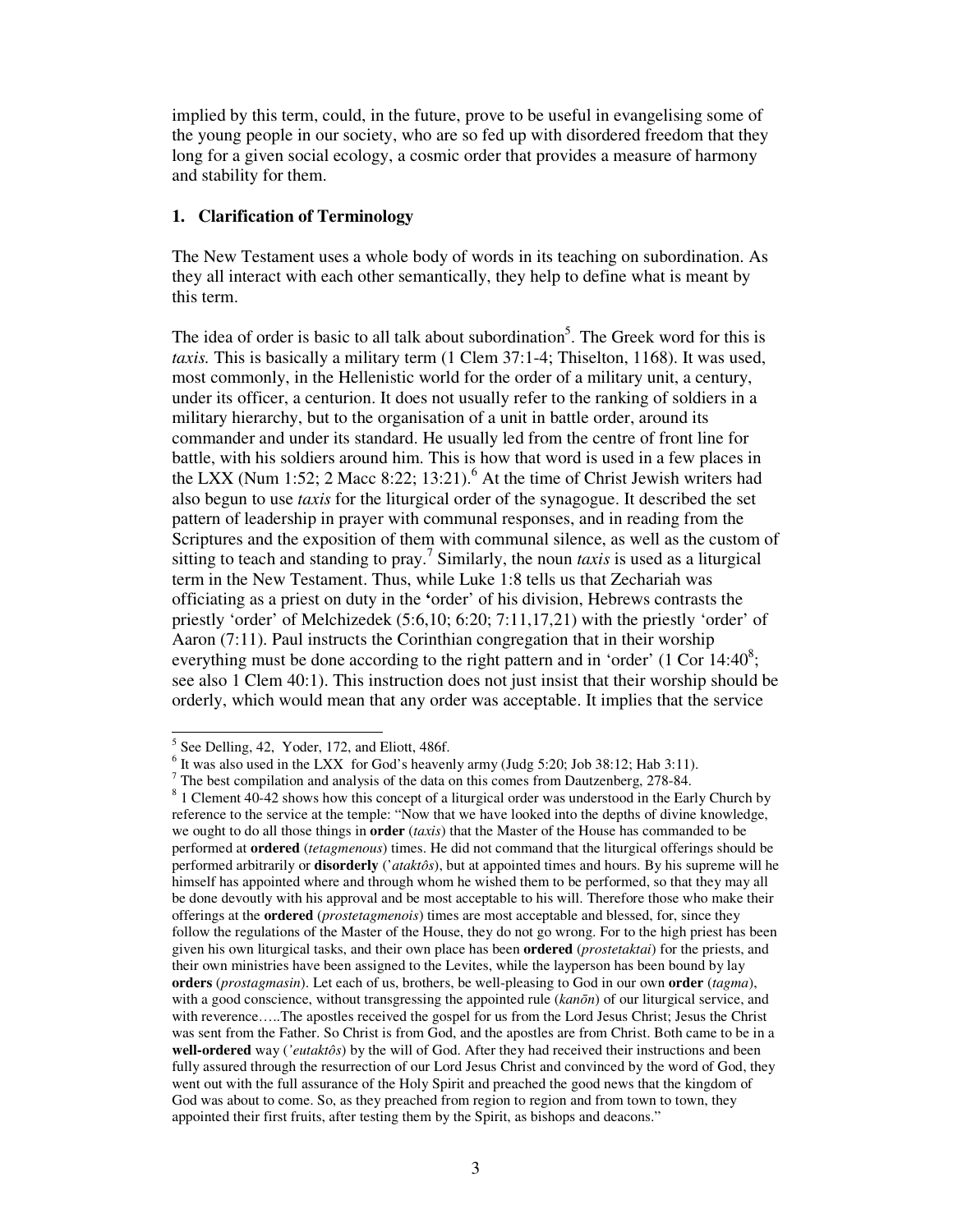implied by this term, could, in the future, prove to be useful in evangelising some of the young people in our society, who are so fed up with disordered freedom that they long for a given social ecology, a cosmic order that provides a measure of harmony and stability for them.

# **1. Clarification of Terminology**

The New Testament uses a whole body of words in its teaching on subordination. As they all interact with each other semantically, they help to define what is meant by this term.

The idea of order is basic to all talk about subordination<sup>5</sup>. The Greek word for this is *taxis.* This is basically a military term (1 Clem 37:1-4; Thiselton, 1168). It was used, most commonly, in the Hellenistic world for the order of a military unit, a century, under its officer, a centurion. It does not usually refer to the ranking of soldiers in a military hierarchy, but to the organisation of a unit in battle order, around its commander and under its standard. He usually led from the centre of front line for battle, with his soldiers around him. This is how that word is used in a few places in the LXX (Num 1:52; 2 Macc 8:22; 13:21).<sup>6</sup> At the time of Christ Jewish writers had also begun to use *taxis* for the liturgical order of the synagogue. It described the set pattern of leadership in prayer with communal responses, and in reading from the Scriptures and the exposition of them with communal silence, as well as the custom of sitting to teach and standing to pray.<sup>7</sup> Similarly, the noun *taxis* is used as a liturgical term in the New Testament. Thus, while Luke 1:8 tells us that Zechariah was officiating as a priest on duty in the **'**order' of his division, Hebrews contrasts the priestly 'order' of Melchizedek (5:6,10; 6:20; 7:11,17,21) with the priestly 'order' of Aaron (7:11). Paul instructs the Corinthian congregation that in their worship everything must be done according to the right pattern and in 'order'  $(1 \text{ Cor } 14:40^8)$ ; see also 1 Clem 40:1). This instruction does not just insist that their worship should be orderly, which would mean that any order was acceptable. It implies that the service

<sup>&</sup>lt;sup>5</sup> See Delling, 42, Yoder, 172, and Eliott, 486f.

 $6$  It was also used in the LXX for God's heavenly army (Judg 5:20; Job 38:12; Hab 3:11).

 $<sup>7</sup>$  The best compilation and analysis of the data on this comes from Dautzenberg, 278-84.</sup>

 $8$  1 Clement 40-42 shows how this concept of a liturgical order was understood in the Early Church by reference to the service at the temple: "Now that we have looked into the depths of divine knowledge, we ought to do all those things in **order** (*taxis*) that the Master of the House has commanded to be performed at **ordered** (*tetagmenous*) times. He did not command that the liturgical offerings should be performed arbitrarily or **disorderly** ('*ataktôs*), but at appointed times and hours. By his supreme will he himself has appointed where and through whom he wished them to be performed, so that they may all be done devoutly with his approval and be most acceptable to his will. Therefore those who make their offerings at the **ordered** (*prostetagmenois*) times are most acceptable and blessed, for, since they follow the regulations of the Master of the House, they do not go wrong. For to the high priest has been given his own liturgical tasks, and their own place has been **ordered** (*prostetaktai*) for the priests, and their own ministries have been assigned to the Levites, while the layperson has been bound by lay **orders** (*prostagmasin*). Let each of us, brothers, be well-pleasing to God in our own **order** (*tagma*), with a good conscience, without transgressing the appointed rule (*kan*ō*n*) of our liturgical service, and with reverence…..The apostles received the gospel for us from the Lord Jesus Christ; Jesus the Christ was sent from the Father. So Christ is from God, and the apostles are from Christ. Both came to be in a **well-ordered** way (*'eutaktôs*) by the will of God. After they had received their instructions and been fully assured through the resurrection of our Lord Jesus Christ and convinced by the word of God, they went out with the full assurance of the Holy Spirit and preached the good news that the kingdom of God was about to come. So, as they preached from region to region and from town to town, they appointed their first fruits, after testing them by the Spirit, as bishops and deacons."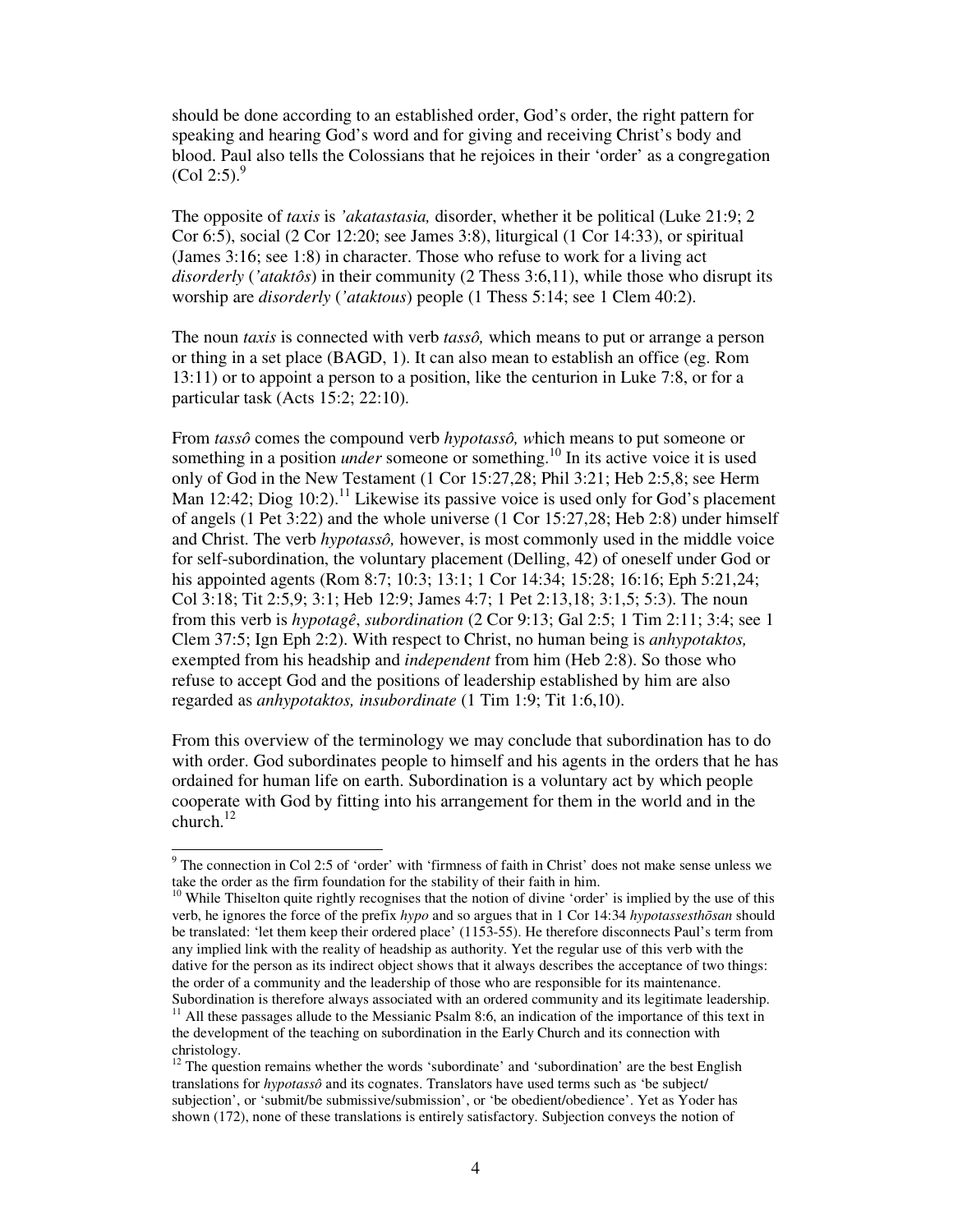should be done according to an established order, God's order, the right pattern for speaking and hearing God's word and for giving and receiving Christ's body and blood. Paul also tells the Colossians that he rejoices in their 'order' as a congregation  $(Col 2:5)^9$ 

The opposite of *taxis* is *'akatastasia,* disorder, whether it be political (Luke 21:9; 2 Cor 6:5), social (2 Cor 12:20; see James 3:8), liturgical (1 Cor 14:33), or spiritual (James 3:16; see 1:8) in character. Those who refuse to work for a living act *disorderly* (*'ataktôs*) in their community (2 Thess 3:6,11), while those who disrupt its worship are *disorderly* (*'ataktous*) people (1 Thess 5:14; see 1 Clem 40:2).

The noun *taxis* is connected with verb *tassô,* which means to put or arrange a person or thing in a set place (BAGD, 1). It can also mean to establish an office (eg. Rom 13:11) or to appoint a person to a position, like the centurion in Luke 7:8, or for a particular task (Acts 15:2; 22:10).

From *tassô* comes the compound verb *hypotassô, w*hich means to put someone or something in a position *under* someone or something.<sup>10</sup> In its active voice it is used only of God in the New Testament (1 Cor 15:27,28; Phil 3:21; Heb 2:5,8; see Herm Man 12:42; Diog  $10:2$ ).<sup>11</sup> Likewise its passive voice is used only for God's placement of angels (1 Pet 3:22) and the whole universe (1 Cor 15:27,28; Heb 2:8) under himself and Christ. The verb *hypotassô,* however, is most commonly used in the middle voice for self-subordination, the voluntary placement (Delling, 42) of oneself under God or his appointed agents (Rom 8:7; 10:3; 13:1; 1 Cor 14:34; 15:28; 16:16; Eph 5:21,24; Col 3:18; Tit 2:5,9; 3:1; Heb 12:9; James 4:7; 1 Pet 2:13,18; 3:1,5; 5:3). The noun from this verb is *hypotagê*, *subordination* (2 Cor 9:13; Gal 2:5; 1 Tim 2:11; 3:4; see 1 Clem 37:5; Ign Eph 2:2). With respect to Christ, no human being is *anhypotaktos,* exempted from his headship and *independent* from him (Heb 2:8). So those who refuse to accept God and the positions of leadership established by him are also regarded as *anhypotaktos, insubordinate* (1 Tim 1:9; Tit 1:6,10).

From this overview of the terminology we may conclude that subordination has to do with order. God subordinates people to himself and his agents in the orders that he has ordained for human life on earth. Subordination is a voluntary act by which people cooperate with God by fitting into his arrangement for them in the world and in the church. $^{12}$ 

The connection in Col 2:5 of 'order' with 'firmness of faith in Christ' does not make sense unless we take the order as the firm foundation for the stability of their faith in him.

<sup>&</sup>lt;sup>10</sup> While Thiselton quite rightly recognises that the notion of divine 'order' is implied by the use of this verb, he ignores the force of the prefix *hypo* and so argues that in 1 Cor 14:34 *hypotassesth*ō*san* should be translated: 'let them keep their ordered place' (1153-55). He therefore disconnects Paul's term from any implied link with the reality of headship as authority. Yet the regular use of this verb with the dative for the person as its indirect object shows that it always describes the acceptance of two things: the order of a community and the leadership of those who are responsible for its maintenance. Subordination is therefore always associated with an ordered community and its legitimate leadership.

<sup>11</sup> All these passages allude to the Messianic Psalm 8:6, an indication of the importance of this text in the development of the teaching on subordination in the Early Church and its connection with christology.

<sup>&</sup>lt;sup>12</sup> The question remains whether the words 'subordinate' and 'subordination' are the best English translations for *hypotassô* and its cognates. Translators have used terms such as 'be subject/ subjection', or 'submit/be submissive/submission', or 'be obedient/obedience'. Yet as Yoder has shown (172), none of these translations is entirely satisfactory. Subjection conveys the notion of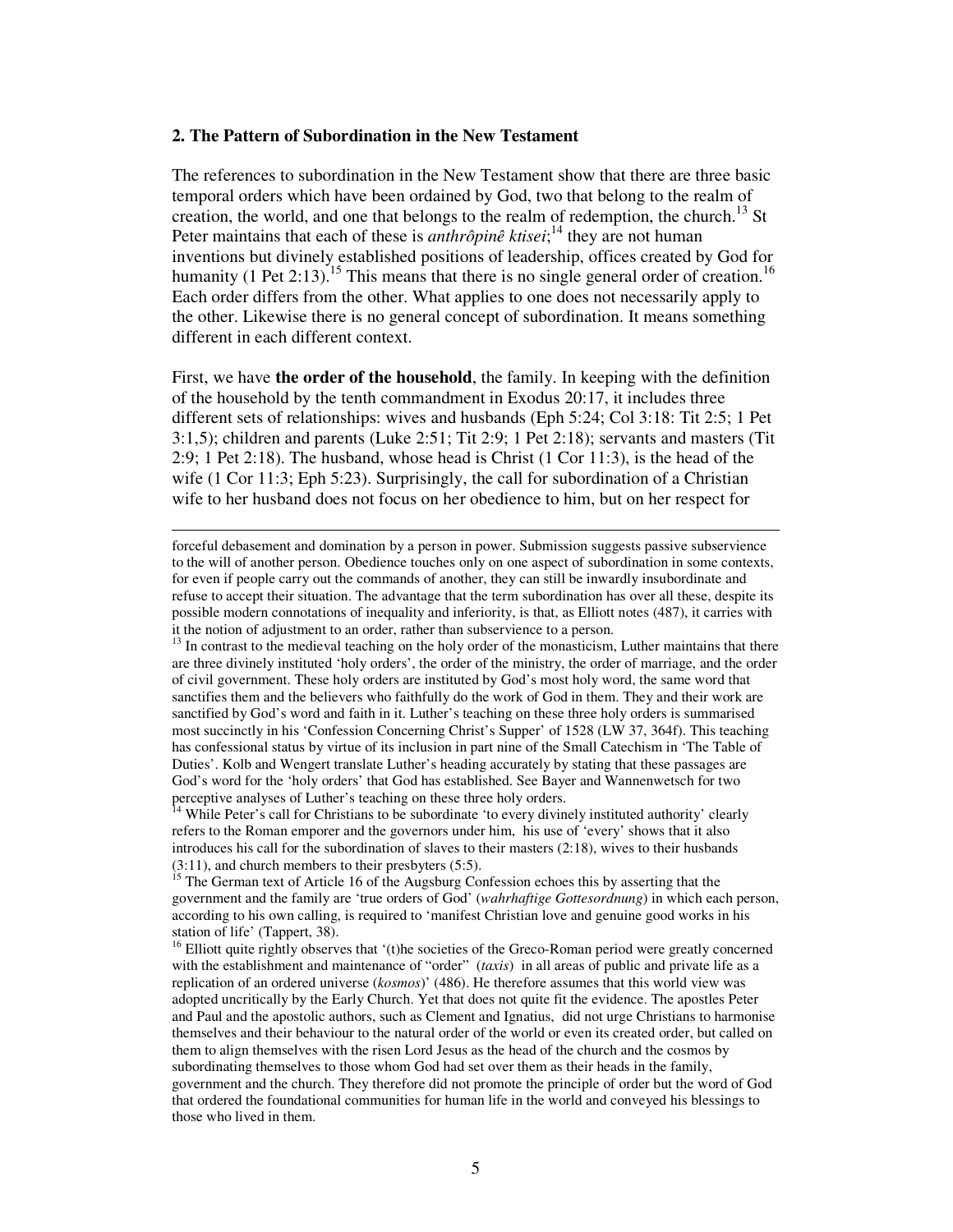## **2. The Pattern of Subordination in the New Testament**

<u>.</u>

The references to subordination in the New Testament show that there are three basic temporal orders which have been ordained by God, two that belong to the realm of creation, the world, and one that belongs to the realm of redemption, the church.<sup>13</sup> St Peter maintains that each of these is *anthrôpinê ktisei*;<sup>14</sup> they are not human inventions but divinely established positions of leadership, offices created by God for humanity (1 Pet 2:13).<sup>15</sup> This means that there is no single general order of creation.<sup>16</sup> Each order differs from the other. What applies to one does not necessarily apply to the other. Likewise there is no general concept of subordination. It means something different in each different context.

First, we have **the order of the household**, the family. In keeping with the definition of the household by the tenth commandment in Exodus 20:17, it includes three different sets of relationships: wives and husbands (Eph 5:24; Col 3:18: Tit 2:5; 1 Pet 3:1,5); children and parents (Luke 2:51; Tit 2:9; 1 Pet 2:18); servants and masters (Tit 2:9; 1 Pet 2:18). The husband, whose head is Christ (1 Cor 11:3), is the head of the wife (1 Cor 11:3; Eph 5:23). Surprisingly, the call for subordination of a Christian wife to her husband does not focus on her obedience to him, but on her respect for

forceful debasement and domination by a person in power. Submission suggests passive subservience to the will of another person. Obedience touches only on one aspect of subordination in some contexts, for even if people carry out the commands of another, they can still be inwardly insubordinate and refuse to accept their situation. The advantage that the term subordination has over all these, despite its possible modern connotations of inequality and inferiority, is that, as Elliott notes (487), it carries with it the notion of adjustment to an order, rather than subservience to a person.

<sup>13</sup> In contrast to the medieval teaching on the holy order of the monasticism, Luther maintains that there are three divinely instituted 'holy orders', the order of the ministry, the order of marriage, and the order of civil government. These holy orders are instituted by God's most holy word, the same word that sanctifies them and the believers who faithfully do the work of God in them. They and their work are sanctified by God's word and faith in it. Luther's teaching on these three holy orders is summarised most succinctly in his 'Confession Concerning Christ's Supper' of 1528 (LW 37, 364f). This teaching has confessional status by virtue of its inclusion in part nine of the Small Catechism in 'The Table of Duties'. Kolb and Wengert translate Luther's heading accurately by stating that these passages are God's word for the 'holy orders' that God has established. See Bayer and Wannenwetsch for two perceptive analyses of Luther's teaching on these three holy orders.<br><sup>14</sup> While Deter's sell for the state of the state of the state of the state of the state of the state of the state of the state of the state of the stat

While Peter's call for Christians to be subordinate 'to every divinely instituted authority' clearly refers to the Roman emporer and the governors under him, his use of 'every' shows that it also introduces his call for the subordination of slaves to their masters (2:18), wives to their husbands  $(3:11)$ , and church members to their presbyters  $(5:5)$ .

The German text of Article 16 of the Augsburg Confession echoes this by asserting that the government and the family are 'true orders of God' (*wahrhaftige Gottesordnung*) in which each person, according to his own calling, is required to 'manifest Christian love and genuine good works in his station of life' (Tappert, 38).

<sup>16</sup> Elliott quite rightly observes that '(t)he societies of the Greco-Roman period were greatly concerned with the establishment and maintenance of "order" (*taxis*) in all areas of public and private life as a replication of an ordered universe (*kosmos*)' (486). He therefore assumes that this world view was adopted uncritically by the Early Church. Yet that does not quite fit the evidence. The apostles Peter and Paul and the apostolic authors, such as Clement and Ignatius, did not urge Christians to harmonise themselves and their behaviour to the natural order of the world or even its created order, but called on them to align themselves with the risen Lord Jesus as the head of the church and the cosmos by subordinating themselves to those whom God had set over them as their heads in the family, government and the church. They therefore did not promote the principle of order but the word of God that ordered the foundational communities for human life in the world and conveyed his blessings to those who lived in them.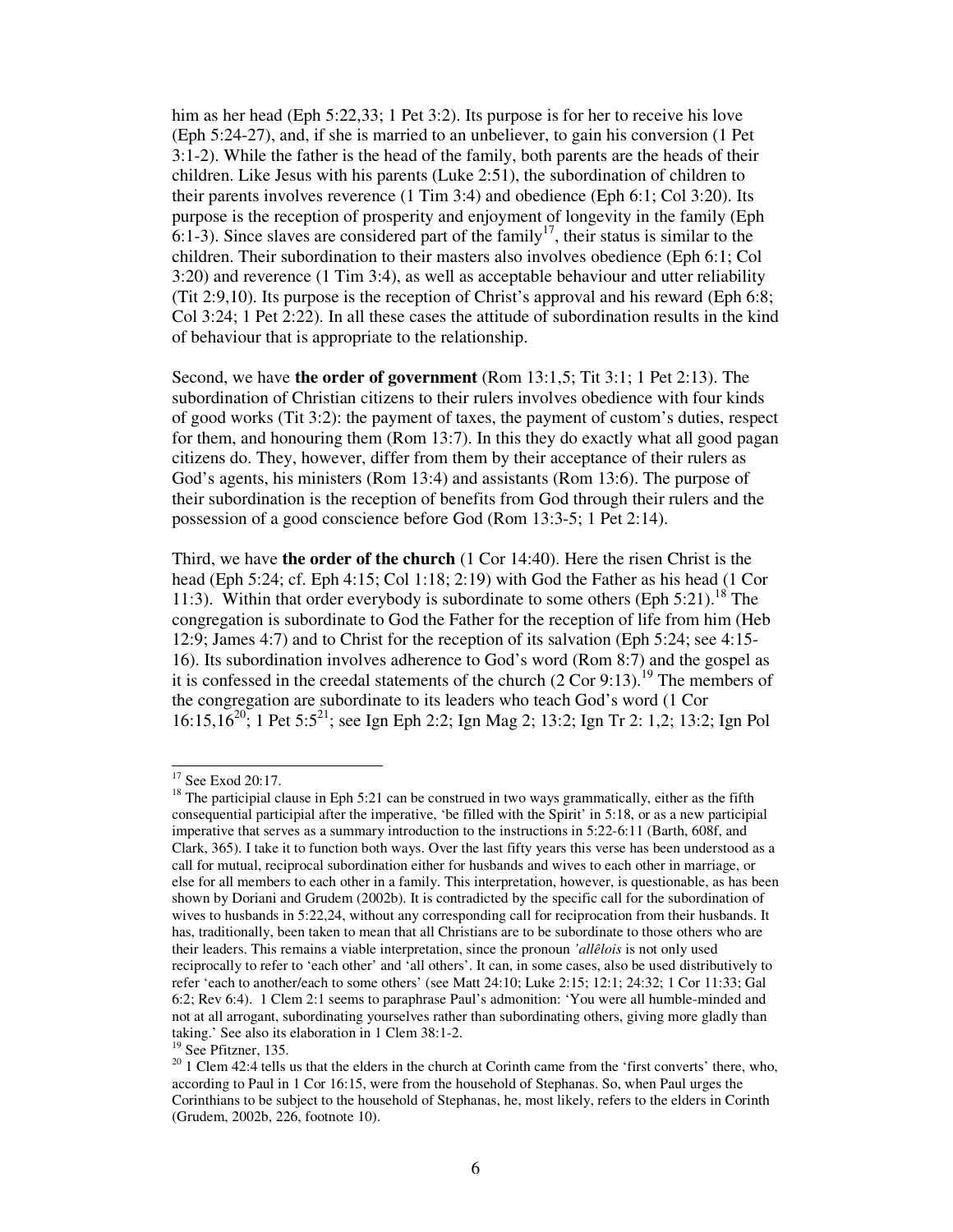him as her head (Eph 5:22,33; 1 Pet 3:2). Its purpose is for her to receive his love (Eph 5:24-27), and, if she is married to an unbeliever, to gain his conversion (1 Pet 3:1-2). While the father is the head of the family, both parents are the heads of their children. Like Jesus with his parents (Luke 2:51), the subordination of children to their parents involves reverence (1 Tim 3:4) and obedience (Eph 6:1; Col 3:20). Its purpose is the reception of prosperity and enjoyment of longevity in the family (Eph 6:1-3). Since slaves are considered part of the family<sup>17</sup>, their status is similar to the children. Their subordination to their masters also involves obedience (Eph 6:1; Col 3:20) and reverence (1 Tim 3:4), as well as acceptable behaviour and utter reliability (Tit 2:9,10). Its purpose is the reception of Christ's approval and his reward (Eph 6:8; Col 3:24; 1 Pet 2:22). In all these cases the attitude of subordination results in the kind of behaviour that is appropriate to the relationship.

Second, we have **the order of government** (Rom 13:1,5; Tit 3:1; 1 Pet 2:13). The subordination of Christian citizens to their rulers involves obedience with four kinds of good works (Tit 3:2): the payment of taxes, the payment of custom's duties, respect for them, and honouring them (Rom 13:7). In this they do exactly what all good pagan citizens do. They, however, differ from them by their acceptance of their rulers as God's agents, his ministers (Rom 13:4) and assistants (Rom 13:6). The purpose of their subordination is the reception of benefits from God through their rulers and the possession of a good conscience before God (Rom 13:3-5; 1 Pet 2:14).

Third, we have **the order of the church** (1 Cor 14:40). Here the risen Christ is the head (Eph 5:24; cf. Eph 4:15; Col 1:18; 2:19) with God the Father as his head (1 Cor 11:3). Within that order everybody is subordinate to some others (Eph 5:21).<sup>18</sup> The congregation is subordinate to God the Father for the reception of life from him (Heb 12:9; James 4:7) and to Christ for the reception of its salvation (Eph 5:24; see 4:15- 16). Its subordination involves adherence to God's word (Rom 8:7) and the gospel as it is confessed in the creedal statements of the church  $(2 \text{ Cor } 9:13)$ .<sup>19</sup> The members of the congregation are subordinate to its leaders who teach God's word (1 Cor 16:15,16<sup>20</sup>; 1 Pet 5:5<sup>21</sup>; see Ign Eph 2:2; Ign Mag 2; 13:2; Ign Tr 2: 1,2; 13:2; Ign Pol

<sup>&</sup>lt;sup>17</sup> See Exod 20:17.

 $18$  The participial clause in Eph 5:21 can be construed in two ways grammatically, either as the fifth consequential participial after the imperative, 'be filled with the Spirit' in 5:18, or as a new participial imperative that serves as a summary introduction to the instructions in 5:22-6:11 (Barth, 608f, and Clark, 365). I take it to function both ways. Over the last fifty years this verse has been understood as a call for mutual, reciprocal subordination either for husbands and wives to each other in marriage, or else for all members to each other in a family. This interpretation, however, is questionable, as has been shown by Doriani and Grudem (2002b). It is contradicted by the specific call for the subordination of wives to husbands in 5:22,24, without any corresponding call for reciprocation from their husbands. It has, traditionally, been taken to mean that all Christians are to be subordinate to those others who are their leaders. This remains a viable interpretation, since the pronoun *'allêlois* is not only used reciprocally to refer to 'each other' and 'all others'. It can, in some cases, also be used distributively to refer 'each to another/each to some others' (see Matt 24:10; Luke 2:15; 12:1; 24:32; 1 Cor 11:33; Gal 6:2; Rev 6:4). 1 Clem 2:1 seems to paraphrase Paul's admonition: 'You were all humble-minded and not at all arrogant, subordinating yourselves rather than subordinating others, giving more gladly than taking.' See also its elaboration in 1 Clem 38:1-2.

<sup>&</sup>lt;sup>19</sup> See Pfitzner, 135.

 $20$  1 Clem 42:4 tells us that the elders in the church at Corinth came from the 'first converts' there, who, according to Paul in 1 Cor 16:15, were from the household of Stephanas. So, when Paul urges the Corinthians to be subject to the household of Stephanas, he, most likely, refers to the elders in Corinth (Grudem, 2002b, 226, footnote 10).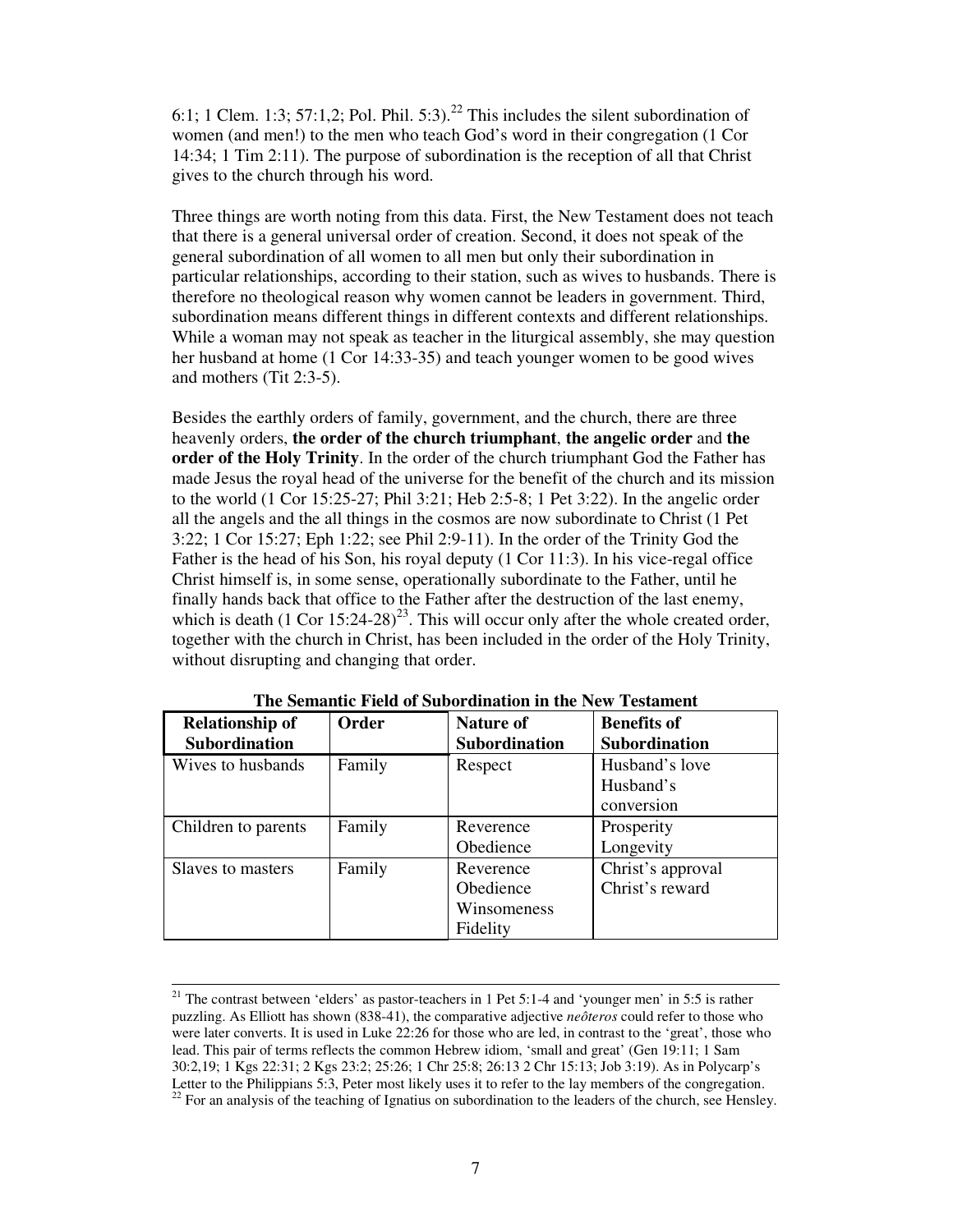6:1; 1 Clem. 1:3; 57:1,2; Pol. Phil. 5:3).<sup>22</sup> This includes the silent subordination of women (and men!) to the men who teach God's word in their congregation (1 Cor 14:34; 1 Tim 2:11). The purpose of subordination is the reception of all that Christ gives to the church through his word.

Three things are worth noting from this data. First, the New Testament does not teach that there is a general universal order of creation. Second, it does not speak of the general subordination of all women to all men but only their subordination in particular relationships, according to their station, such as wives to husbands. There is therefore no theological reason why women cannot be leaders in government. Third, subordination means different things in different contexts and different relationships. While a woman may not speak as teacher in the liturgical assembly, she may question her husband at home (1 Cor 14:33-35) and teach younger women to be good wives and mothers (Tit 2:3-5).

Besides the earthly orders of family, government, and the church, there are three heavenly orders, **the order of the church triumphant**, **the angelic order** and **the order of the Holy Trinity**. In the order of the church triumphant God the Father has made Jesus the royal head of the universe for the benefit of the church and its mission to the world (1 Cor 15:25-27; Phil 3:21; Heb 2:5-8; 1 Pet 3:22). In the angelic order all the angels and the all things in the cosmos are now subordinate to Christ (1 Pet 3:22; 1 Cor 15:27; Eph 1:22; see Phil 2:9-11). In the order of the Trinity God the Father is the head of his Son, his royal deputy (1 Cor 11:3). In his vice-regal office Christ himself is, in some sense, operationally subordinate to the Father, until he finally hands back that office to the Father after the destruction of the last enemy, which is death  $(1 \text{ Cor } 15:24-28)^{23}$ . This will occur only after the whole created order, together with the church in Christ, has been included in the order of the Holy Trinity, without disrupting and changing that order.

| <b>Relationship of</b><br><b>Subordination</b> | Order  | <b>Nature of</b><br><b>Subordination</b>          | <b>Benefits of</b><br><b>Subordination</b> |
|------------------------------------------------|--------|---------------------------------------------------|--------------------------------------------|
| Wives to husbands                              | Family | Respect                                           | Husband's love<br>Husband's<br>conversion  |
| Children to parents                            | Family | Reverence<br>Obedience                            | Prosperity<br>Longevity                    |
| Slaves to masters                              | Family | Reverence<br>Obedience<br>Winsomeness<br>Fidelity | Christ's approval<br>Christ's reward       |

**The Semantic Field of Subordination in the New Testament**

<sup>&</sup>lt;sup>21</sup> The contrast between 'elders' as pastor-teachers in 1 Pet 5:1-4 and 'younger men' in 5:5 is rather puzzling. As Elliott has shown (838-41), the comparative adjective *neôteros* could refer to those who were later converts. It is used in Luke 22:26 for those who are led, in contrast to the 'great', those who lead. This pair of terms reflects the common Hebrew idiom, 'small and great' (Gen 19:11; 1 Sam 30:2,19; 1 Kgs 22:31; 2 Kgs 23:2; 25:26; 1 Chr 25:8; 26:13 2 Chr 15:13; Job 3:19). As in Polycarp's Letter to the Philippians 5:3, Peter most likely uses it to refer to the lay members of the congregation.  $22$  For an analysis of the teaching of Ignatius on subordination to the leaders of the church, see Hensley.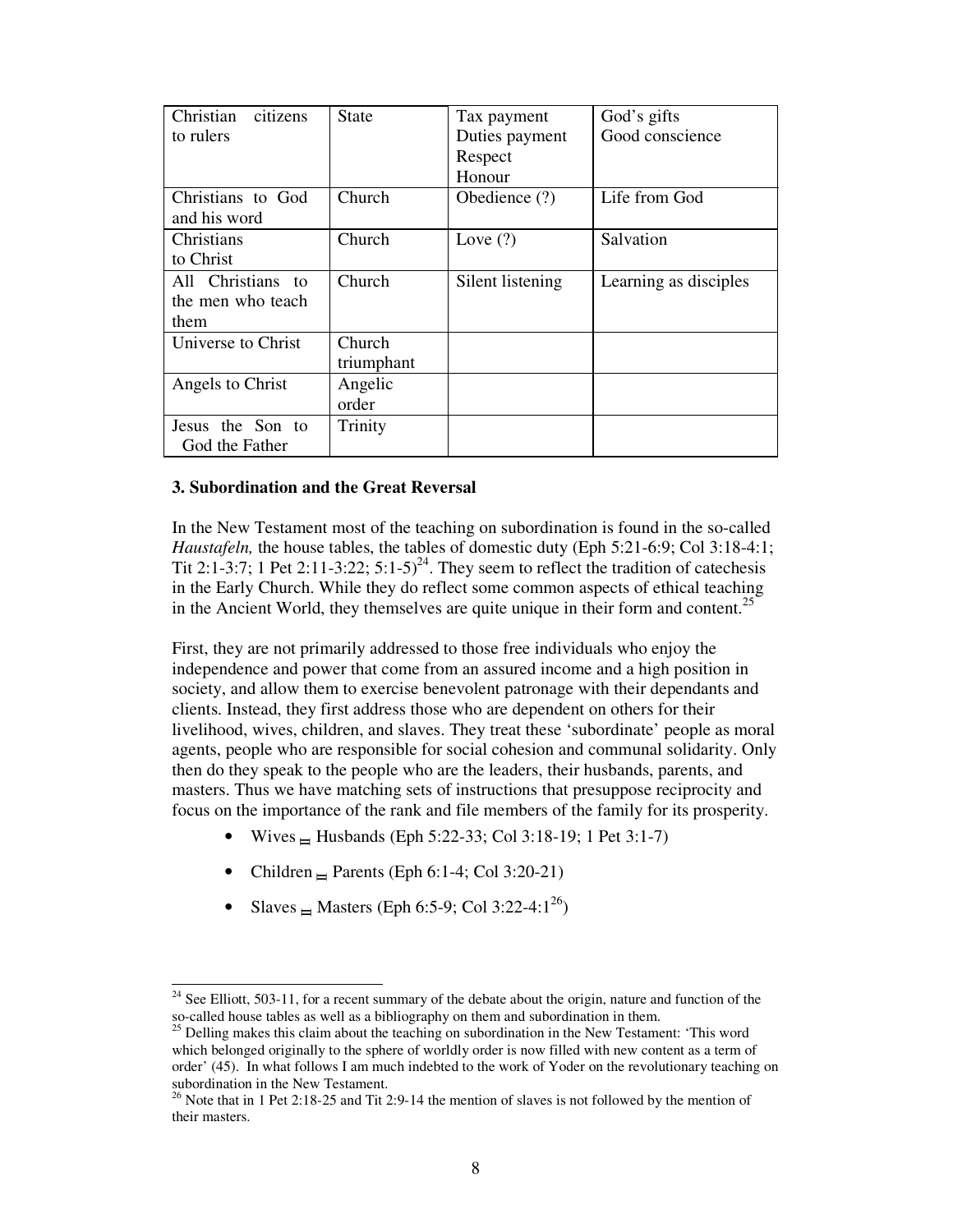| Christian<br>citizens | <b>State</b>  | Tax payment      | God's gifts           |
|-----------------------|---------------|------------------|-----------------------|
| to rulers             |               | Duties payment   | Good conscience       |
|                       |               | Respect          |                       |
|                       |               | Honour           |                       |
| Christians to God     | Church        | Obedience (?)    | Life from God         |
| and his word          |               |                  |                       |
| Christians            | Church        | Love $(?)$       | Salvation             |
| to Christ             |               |                  |                       |
| All Christians to     | Church        | Silent listening | Learning as disciples |
| the men who teach     |               |                  |                       |
| them                  |               |                  |                       |
| Universe to Christ    | <b>Church</b> |                  |                       |
|                       | triumphant    |                  |                       |
| Angels to Christ      | Angelic       |                  |                       |
|                       | order         |                  |                       |
| Jesus the Son to      | Trinity       |                  |                       |
| God the Father        |               |                  |                       |

# **3. Subordination and the Great Reversal**

In the New Testament most of the teaching on subordination is found in the so-called *Haustafeln*, the house tables, the tables of domestic duty (Eph 5:21-6:9; Col 3:18-4:1; Tit 2:1-3:7; 1 Pet 2:11-3:22;  $5:1-5$ <sup>24</sup>. They seem to reflect the tradition of catechesis in the Early Church. While they do reflect some common aspects of ethical teaching in the Ancient World, they themselves are quite unique in their form and content.<sup>25</sup>

First, they are not primarily addressed to those free individuals who enjoy the independence and power that come from an assured income and a high position in society, and allow them to exercise benevolent patronage with their dependants and clients. Instead, they first address those who are dependent on others for their livelihood, wives, children, and slaves. They treat these 'subordinate' people as moral agents, people who are responsible for social cohesion and communal solidarity. Only then do they speak to the people who are the leaders, their husbands, parents, and masters. Thus we have matching sets of instructions that presuppose reciprocity and focus on the importance of the rank and file members of the family for its prosperity.

- Wives  $\equiv$  Husbands (Eph 5:22-33; Col 3:18-19; 1 Pet 3:1-7)
- Children  $\equiv$  Parents (Eph 6:1-4; Col 3:20-21)
- Slaves  $\equiv$  Masters (Eph 6:5-9; Col 3:22-4:1<sup>26</sup>)

 $24$  See Elliott, 503-11, for a recent summary of the debate about the origin, nature and function of the so-called house tables as well as a bibliography on them and subordination in them.

<sup>&</sup>lt;sup>25</sup> Delling makes this claim about the teaching on subordination in the New Testament: 'This word which belonged originally to the sphere of worldly order is now filled with new content as a term of order' (45). In what follows I am much indebted to the work of Yoder on the revolutionary teaching on subordination in the New Testament.

 $26$  Note that in 1 Pet 2:18-25 and Tit 2:9-14 the mention of slaves is not followed by the mention of their masters.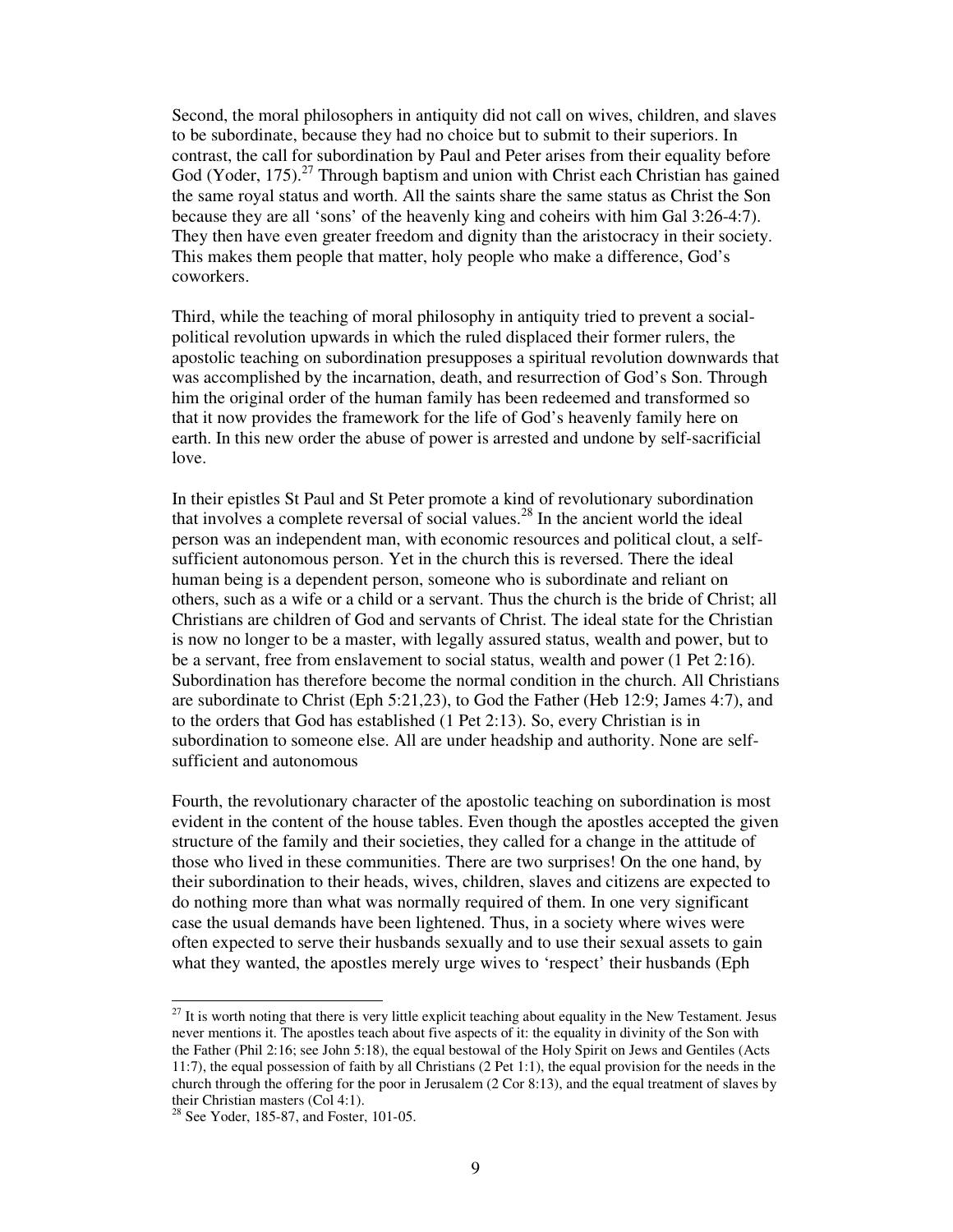Second, the moral philosophers in antiquity did not call on wives, children, and slaves to be subordinate, because they had no choice but to submit to their superiors. In contrast, the call for subordination by Paul and Peter arises from their equality before God (Yoder, 175).<sup>27</sup> Through baptism and union with Christ each Christian has gained the same royal status and worth. All the saints share the same status as Christ the Son because they are all 'sons' of the heavenly king and coheirs with him Gal 3:26-4:7). They then have even greater freedom and dignity than the aristocracy in their society. This makes them people that matter, holy people who make a difference, God's coworkers.

Third, while the teaching of moral philosophy in antiquity tried to prevent a socialpolitical revolution upwards in which the ruled displaced their former rulers, the apostolic teaching on subordination presupposes a spiritual revolution downwards that was accomplished by the incarnation, death, and resurrection of God's Son. Through him the original order of the human family has been redeemed and transformed so that it now provides the framework for the life of God's heavenly family here on earth. In this new order the abuse of power is arrested and undone by self-sacrificial love.

In their epistles St Paul and St Peter promote a kind of revolutionary subordination that involves a complete reversal of social values.<sup>28</sup> In the ancient world the ideal person was an independent man, with economic resources and political clout, a selfsufficient autonomous person. Yet in the church this is reversed. There the ideal human being is a dependent person, someone who is subordinate and reliant on others, such as a wife or a child or a servant. Thus the church is the bride of Christ; all Christians are children of God and servants of Christ. The ideal state for the Christian is now no longer to be a master, with legally assured status, wealth and power, but to be a servant, free from enslavement to social status, wealth and power (1 Pet 2:16). Subordination has therefore become the normal condition in the church. All Christians are subordinate to Christ (Eph 5:21,23), to God the Father (Heb 12:9; James 4:7), and to the orders that God has established (1 Pet 2:13). So, every Christian is in subordination to someone else. All are under headship and authority. None are selfsufficient and autonomous

Fourth, the revolutionary character of the apostolic teaching on subordination is most evident in the content of the house tables. Even though the apostles accepted the given structure of the family and their societies, they called for a change in the attitude of those who lived in these communities. There are two surprises! On the one hand, by their subordination to their heads, wives, children, slaves and citizens are expected to do nothing more than what was normally required of them. In one very significant case the usual demands have been lightened. Thus, in a society where wives were often expected to serve their husbands sexually and to use their sexual assets to gain what they wanted, the apostles merely urge wives to 'respect' their husbands (Eph

 $27$  It is worth noting that there is very little explicit teaching about equality in the New Testament. Jesus never mentions it. The apostles teach about five aspects of it: the equality in divinity of the Son with the Father (Phil 2:16; see John 5:18), the equal bestowal of the Holy Spirit on Jews and Gentiles (Acts 11:7), the equal possession of faith by all Christians (2 Pet 1:1), the equal provision for the needs in the church through the offering for the poor in Jerusalem (2 Cor 8:13), and the equal treatment of slaves by their Christian masters (Col 4:1).

<sup>28</sup> See Yoder, 185-87, and Foster, 101-05.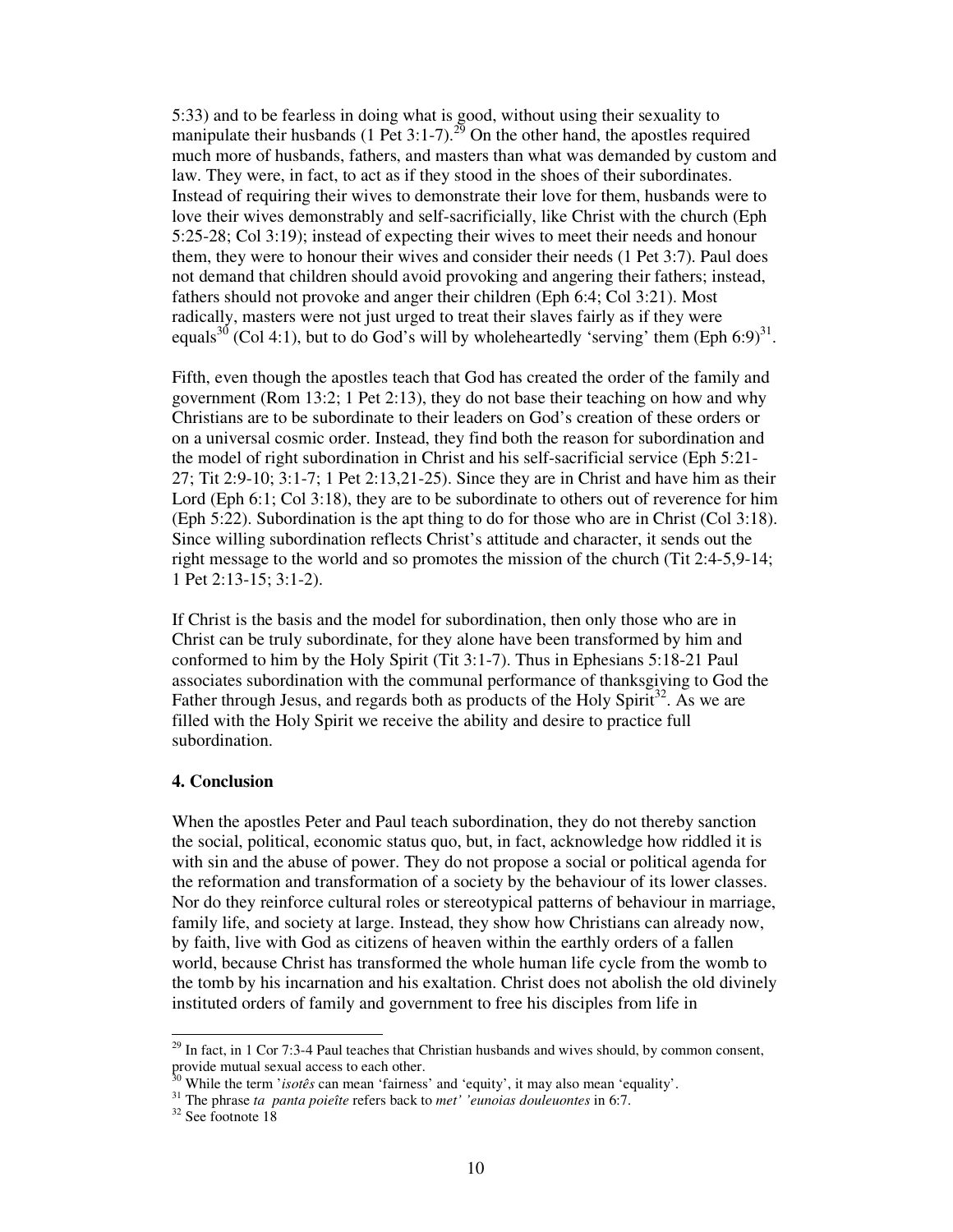5:33) and to be fearless in doing what is good, without using their sexuality to manipulate their husbands (1 Pet 3:1-7).<sup>29</sup> On the other hand, the apostles required much more of husbands, fathers, and masters than what was demanded by custom and law. They were, in fact, to act as if they stood in the shoes of their subordinates. Instead of requiring their wives to demonstrate their love for them, husbands were to love their wives demonstrably and self-sacrificially, like Christ with the church (Eph 5:25-28; Col 3:19); instead of expecting their wives to meet their needs and honour them, they were to honour their wives and consider their needs (1 Pet 3:7). Paul does not demand that children should avoid provoking and angering their fathers; instead, fathers should not provoke and anger their children (Eph 6:4; Col 3:21). Most radically, masters were not just urged to treat their slaves fairly as if they were equals<sup>30</sup> (Col 4:1), but to do God's will by wholeheartedly 'serving' them (Eph 6:9)<sup>31</sup>.

Fifth, even though the apostles teach that God has created the order of the family and government (Rom 13:2; 1 Pet 2:13), they do not base their teaching on how and why Christians are to be subordinate to their leaders on God's creation of these orders or on a universal cosmic order. Instead, they find both the reason for subordination and the model of right subordination in Christ and his self-sacrificial service (Eph 5:21- 27; Tit 2:9-10; 3:1-7; 1 Pet 2:13,21-25). Since they are in Christ and have him as their Lord (Eph 6:1; Col 3:18), they are to be subordinate to others out of reverence for him (Eph 5:22). Subordination is the apt thing to do for those who are in Christ (Col 3:18). Since willing subordination reflects Christ's attitude and character, it sends out the right message to the world and so promotes the mission of the church (Tit 2:4-5,9-14; 1 Pet 2:13-15; 3:1-2).

If Christ is the basis and the model for subordination, then only those who are in Christ can be truly subordinate, for they alone have been transformed by him and conformed to him by the Holy Spirit (Tit 3:1-7). Thus in Ephesians 5:18-21 Paul associates subordination with the communal performance of thanksgiving to God the Father through Jesus, and regards both as products of the Holy Spirit<sup>32</sup>. As we are filled with the Holy Spirit we receive the ability and desire to practice full subordination.

## **4. Conclusion**

When the apostles Peter and Paul teach subordination, they do not thereby sanction the social, political, economic status quo, but, in fact, acknowledge how riddled it is with sin and the abuse of power. They do not propose a social or political agenda for the reformation and transformation of a society by the behaviour of its lower classes. Nor do they reinforce cultural roles or stereotypical patterns of behaviour in marriage, family life, and society at large. Instead, they show how Christians can already now, by faith, live with God as citizens of heaven within the earthly orders of a fallen world, because Christ has transformed the whole human life cycle from the womb to the tomb by his incarnation and his exaltation. Christ does not abolish the old divinely instituted orders of family and government to free his disciples from life in

 $29$  In fact, in 1 Cor 7:3-4 Paul teaches that Christian husbands and wives should, by common consent, provide mutual sexual access to each other.

<sup>30</sup> While the term '*isotês* can mean 'fairness' and 'equity', it may also mean 'equality'.

<sup>31</sup> The phrase *ta panta poieîte* refers back to *met' 'eunoias douleuontes* in 6:7.

<sup>32</sup> See footnote 18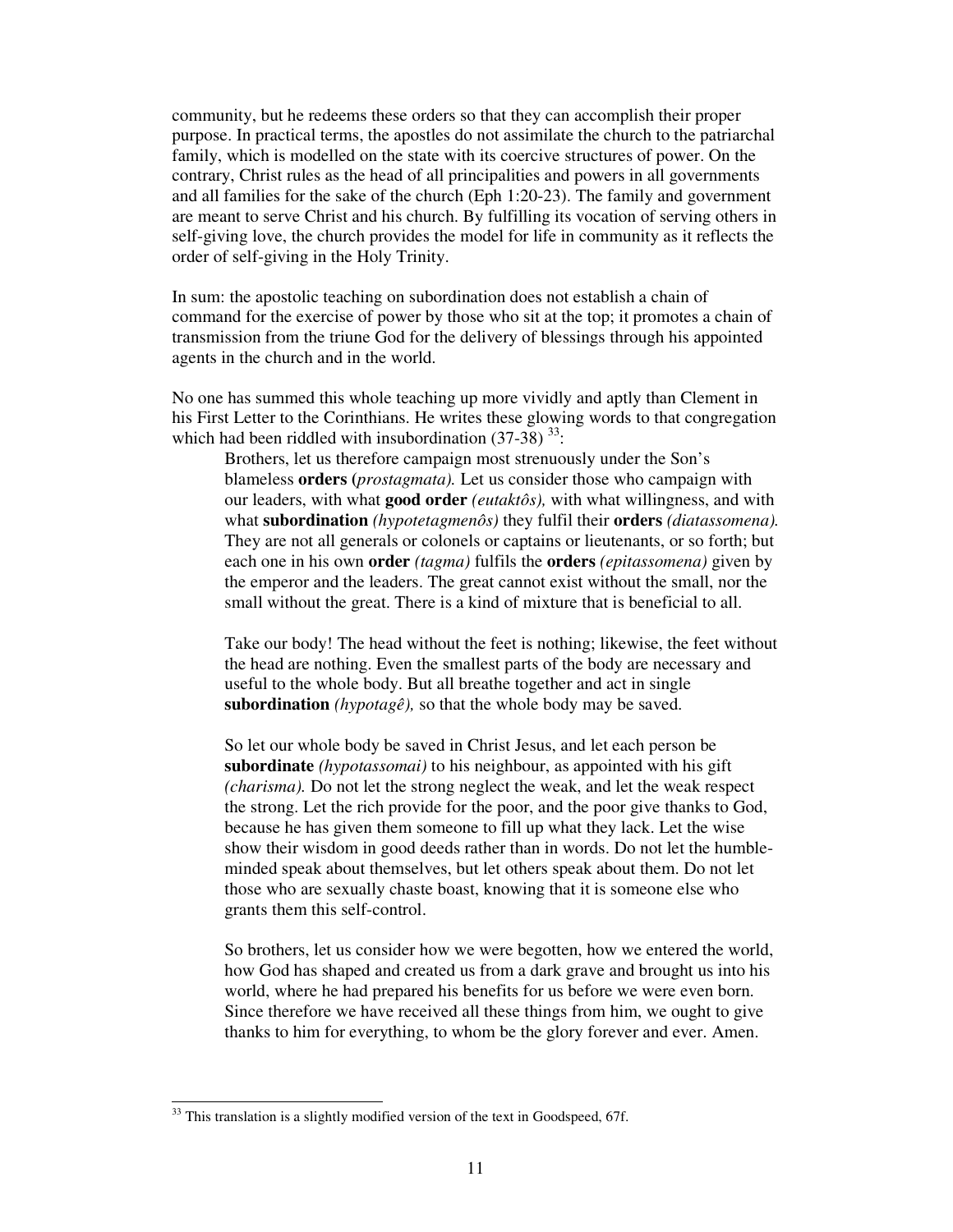community, but he redeems these orders so that they can accomplish their proper purpose. In practical terms, the apostles do not assimilate the church to the patriarchal family, which is modelled on the state with its coercive structures of power. On the contrary, Christ rules as the head of all principalities and powers in all governments and all families for the sake of the church (Eph 1:20-23). The family and government are meant to serve Christ and his church. By fulfilling its vocation of serving others in self-giving love, the church provides the model for life in community as it reflects the order of self-giving in the Holy Trinity.

In sum: the apostolic teaching on subordination does not establish a chain of command for the exercise of power by those who sit at the top; it promotes a chain of transmission from the triune God for the delivery of blessings through his appointed agents in the church and in the world.

No one has summed this whole teaching up more vividly and aptly than Clement in his First Letter to the Corinthians. He writes these glowing words to that congregation which had been riddled with insubordination  $(37-38)^{33}$ :

Brothers, let us therefore campaign most strenuously under the Son's blameless **orders (***prostagmata).* Let us consider those who campaign with our leaders, with what **good order** *(eutaktôs),* with what willingness, and with what **subordination** *(hypotetagmenôs)* they fulfil their **orders** *(diatassomena).*  They are not all generals or colonels or captains or lieutenants, or so forth; but each one in his own **order** *(tagma)* fulfils the **orders** *(epitassomena)* given by the emperor and the leaders. The great cannot exist without the small, nor the small without the great. There is a kind of mixture that is beneficial to all.

Take our body! The head without the feet is nothing; likewise, the feet without the head are nothing. Even the smallest parts of the body are necessary and useful to the whole body. But all breathe together and act in single **subordination**  $(hypotag\hat{e})$ , so that the whole body may be saved.

So let our whole body be saved in Christ Jesus, and let each person be **subordinate** *(hypotassomai)* to his neighbour, as appointed with his gift *(charisma).* Do not let the strong neglect the weak, and let the weak respect the strong. Let the rich provide for the poor, and the poor give thanks to God, because he has given them someone to fill up what they lack. Let the wise show their wisdom in good deeds rather than in words. Do not let the humbleminded speak about themselves, but let others speak about them. Do not let those who are sexually chaste boast, knowing that it is someone else who grants them this self-control.

So brothers, let us consider how we were begotten, how we entered the world, how God has shaped and created us from a dark grave and brought us into his world, where he had prepared his benefits for us before we were even born. Since therefore we have received all these things from him, we ought to give thanks to him for everything, to whom be the glory forever and ever. Amen.

 $33$  This translation is a slightly modified version of the text in Goodspeed, 67f.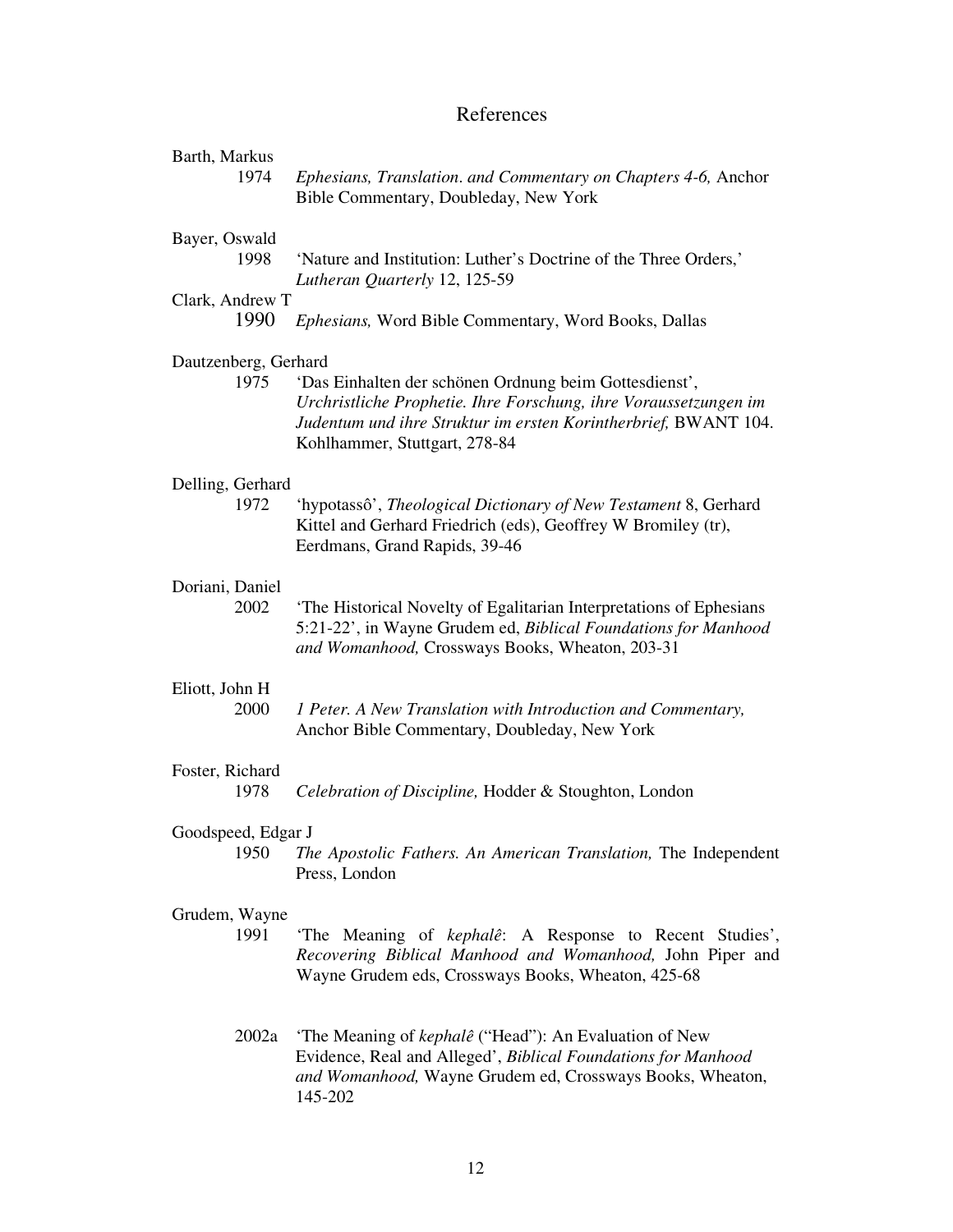# References

| Barth, Markus<br>1974        | Ephesians, Translation. and Commentary on Chapters 4-6, Anchor<br>Bible Commentary, Doubleday, New York                                                                                                                        |
|------------------------------|--------------------------------------------------------------------------------------------------------------------------------------------------------------------------------------------------------------------------------|
| Bayer, Oswald<br>1998        | 'Nature and Institution: Luther's Doctrine of the Three Orders,'<br>Lutheran Quarterly 12, 125-59                                                                                                                              |
| Clark, Andrew T<br>1990      | Ephesians, Word Bible Commentary, Word Books, Dallas                                                                                                                                                                           |
| Dautzenberg, Gerhard<br>1975 | 'Das Einhalten der schönen Ordnung beim Gottesdienst',<br>Urchristliche Prophetie. Ihre Forschung, ihre Voraussetzungen im<br>Judentum und ihre Struktur im ersten Korintherbrief, BWANT 104.<br>Kohlhammer, Stuttgart, 278-84 |
| Delling, Gerhard<br>1972     | 'hypotassô', Theological Dictionary of New Testament 8, Gerhard<br>Kittel and Gerhard Friedrich (eds), Geoffrey W Bromiley (tr),<br>Eerdmans, Grand Rapids, 39-46                                                              |
| Doriani, Daniel<br>2002      | 'The Historical Novelty of Egalitarian Interpretations of Ephesians<br>5:21-22', in Wayne Grudem ed, Biblical Foundations for Manhood<br>and Womanhood, Crossways Books, Wheaton, 203-31                                       |
| Eliott, John H<br>2000       | 1 Peter. A New Translation with Introduction and Commentary,<br>Anchor Bible Commentary, Doubleday, New York                                                                                                                   |
| Foster, Richard<br>1978      | Celebration of Discipline, Hodder & Stoughton, London                                                                                                                                                                          |
|                              |                                                                                                                                                                                                                                |
| Goodspeed, Edgar J<br>1950   | The Apostolic Fathers. An American Translation, The Independent<br>Press, London                                                                                                                                               |
| Grudem, Wayne<br>1991        | 'The Meaning of <i>kephalê</i> : A Response to Recent Studies',<br>Recovering Biblical Manhood and Womanhood, John Piper and<br>Wayne Grudem eds, Crossways Books, Wheaton, 425-68                                             |
| 2002a                        | 'The Meaning of <i>kephalê</i> ("Head"): An Evaluation of New<br>Evidence, Real and Alleged', Biblical Foundations for Manhood<br>and Womanhood, Wayne Grudem ed, Crossways Books, Wheaton,<br>145-202                         |